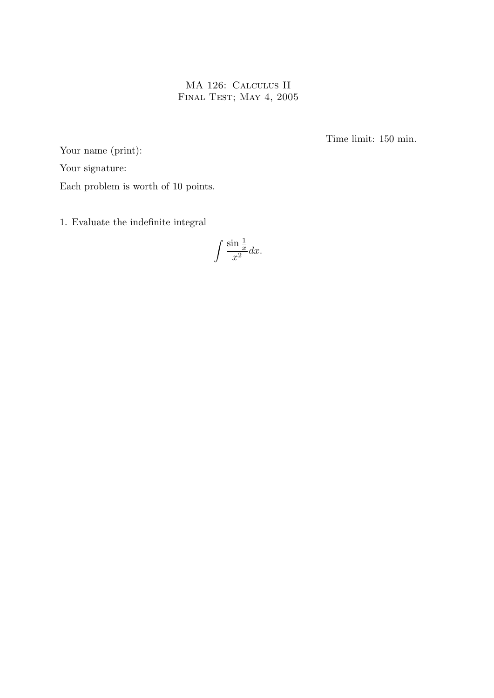MA 126: Calculus II FINAL TEST; MAY 4, 2005

Time limit: 150 min.

Your name (print): Your signature: Each problem is worth of 10 points.

1. Evaluate the indefinite integral

 $\int \frac{\sin \frac{1}{x}}{x}$  $\frac{d}{dx} \frac{d}{dx} dx.$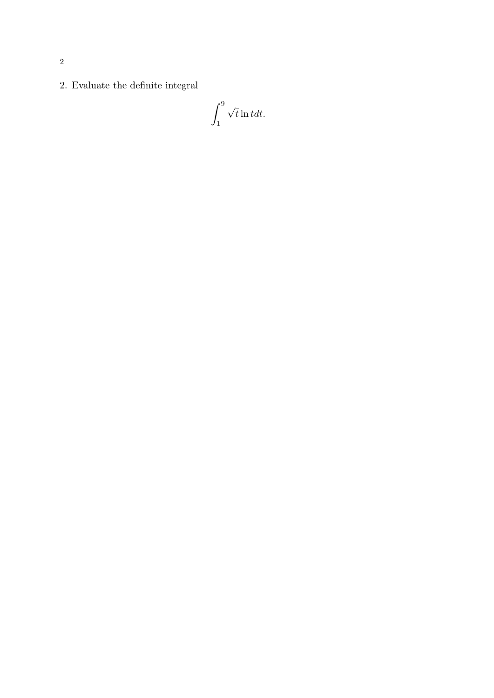2. Evaluate the definite integral

$$
\int_1^9 \sqrt{t} \ln t dt.
$$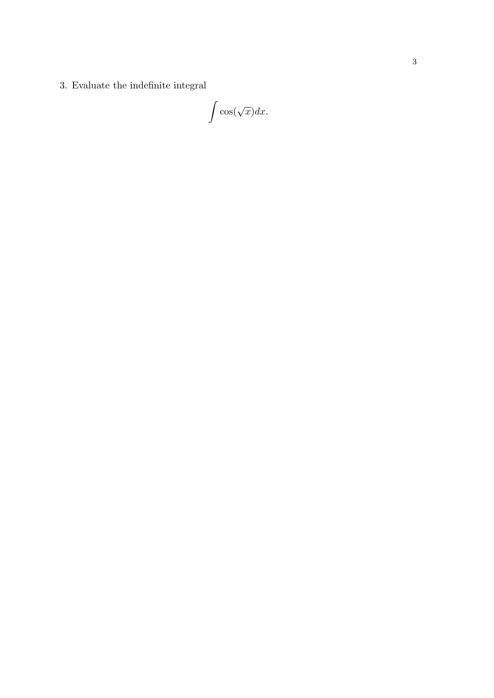3. Evaluate the indefinite integral

 $\int$  cos( √  $\overline{x})dx.$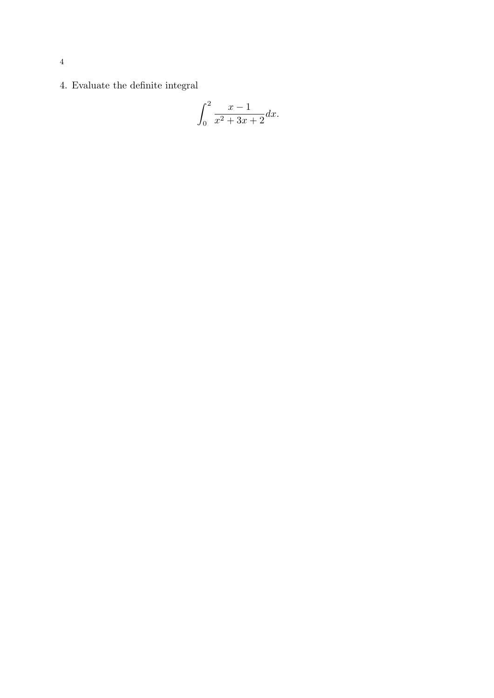4. Evaluate the definite integral

$$
\int_0^2 \frac{x-1}{x^2+3x+2} dx.
$$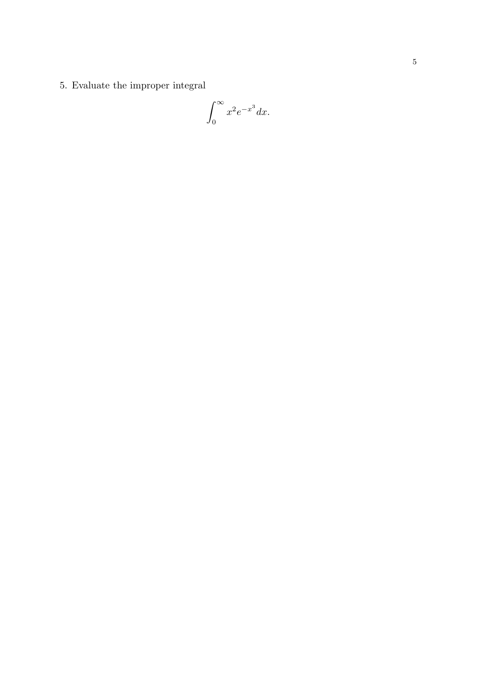5. Evaluate the improper integral

$$
\int_0^\infty x^2 e^{-x^3} dx.
$$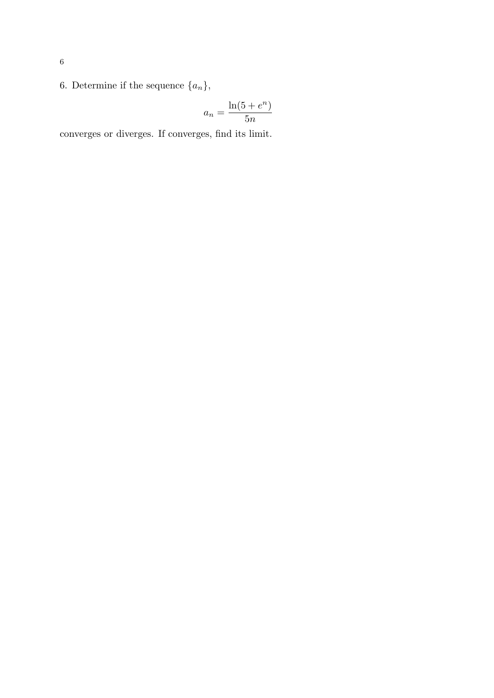6. Determine if the sequence  $\{a_n\},\$ 

$$
a_n = \frac{\ln(5 + e^n)}{5n}
$$

converges or diverges. If converges, find its limit.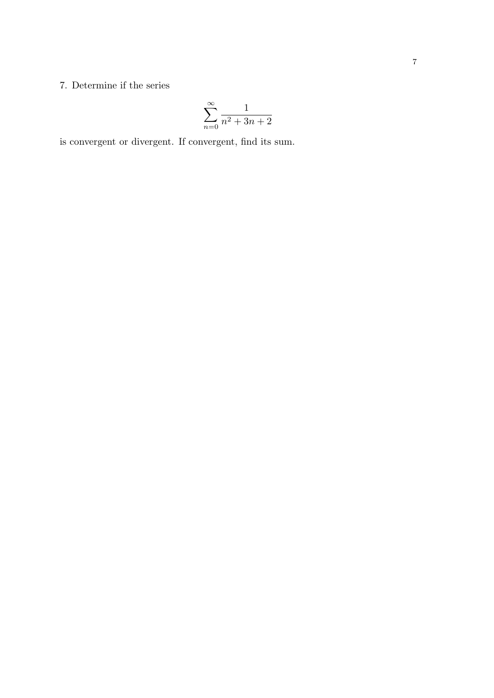## 7. Determine if the series

$$
\sum_{n=0}^{\infty} \frac{1}{n^2 + 3n + 2}
$$

is convergent or divergent. If convergent, find its sum.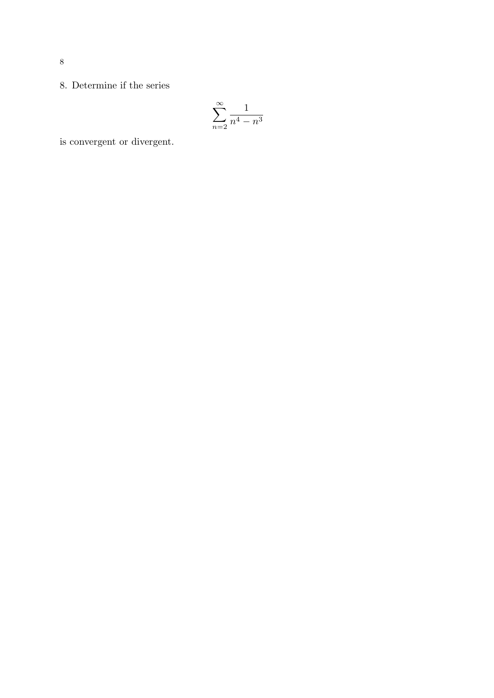$$
\sum_{n=2}^{\infty} \frac{1}{n^4 - n^3}
$$

is convergent or divergent.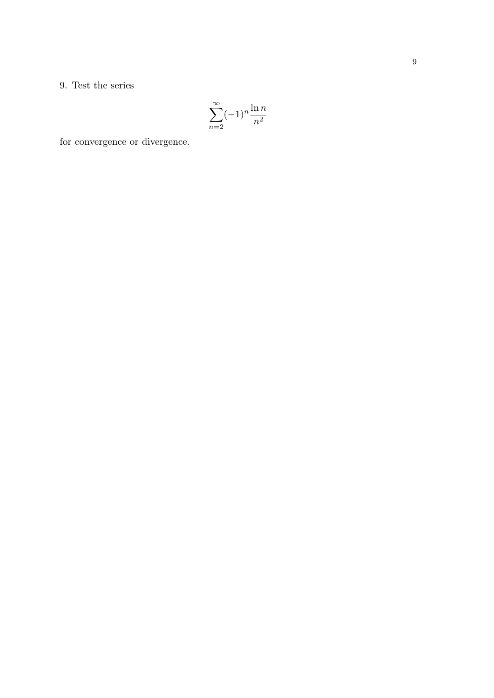### 9. Test the series

$$
\sum_{n=2}^{\infty} (-1)^n \frac{\ln n}{n^2}
$$

for convergence or divergence.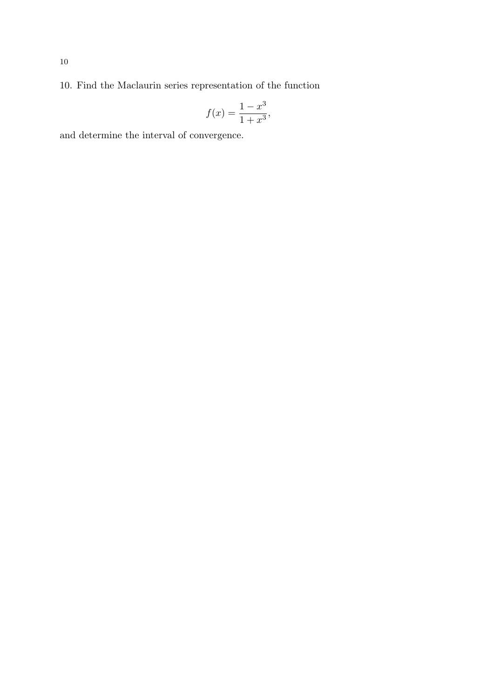10. Find the Maclaurin series representation of the function

$$
f(x) = \frac{1 - x^3}{1 + x^3},
$$

and determine the interval of convergence.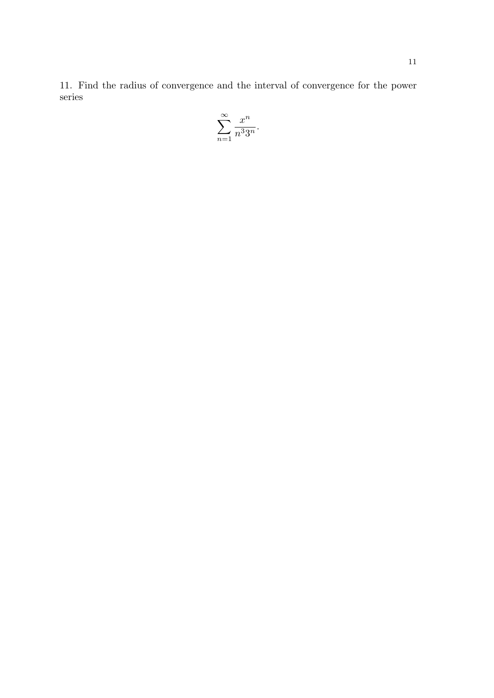11. Find the radius of convergence and the interval of convergence for the power series

$$
\sum_{n=1}^{\infty} \frac{x^n}{n^3 3^n}.
$$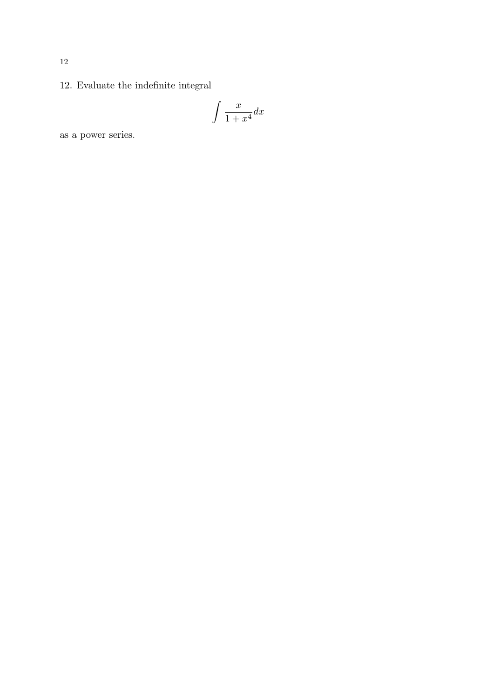# 12. Evaluate the indefinite integral

$$
\int \frac{x}{1+x^4} dx
$$

as a power series.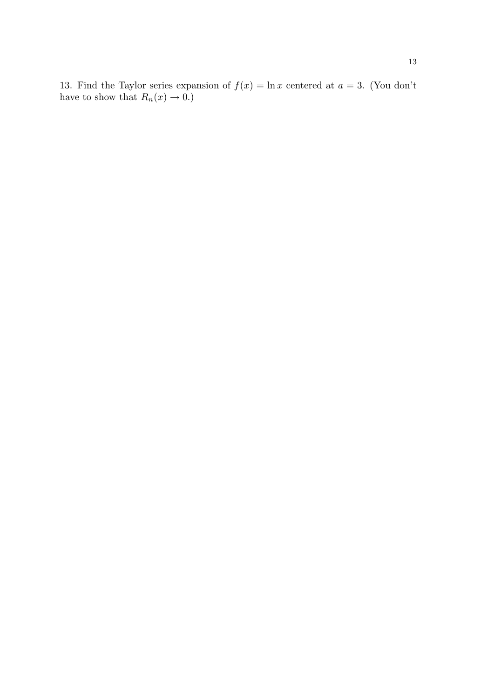13. Find the Taylor series expansion of  $f(x) = \ln x$  centered at  $a = 3$ . (You don't have to show that  $R_n(x) \to 0.$ )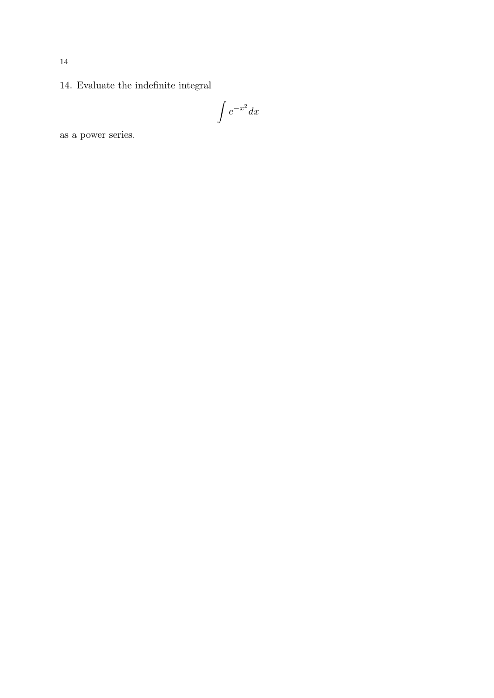# 14. Evaluate the indefinite integral

$$
\int e^{-x^2} dx
$$

as a power series.